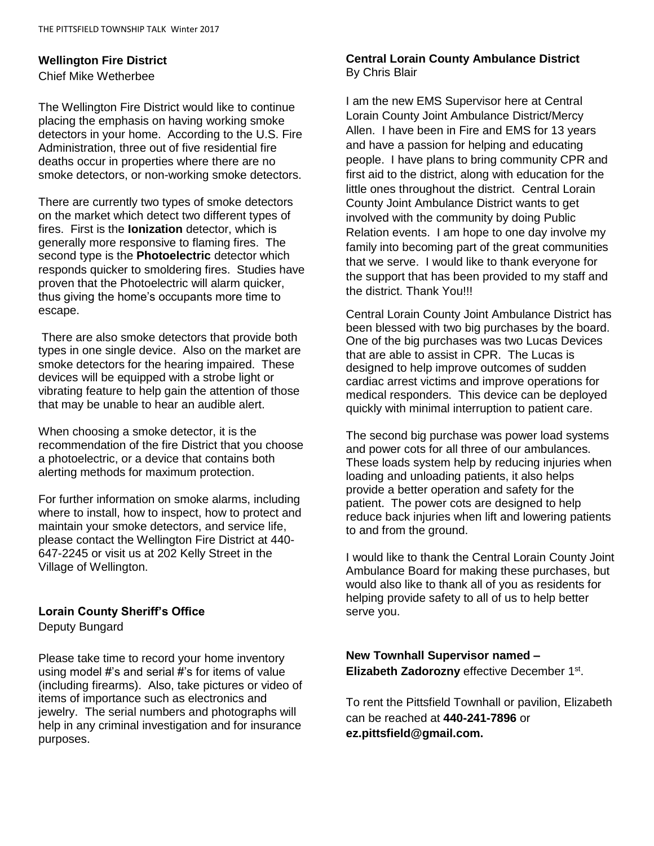#### **Wellington Fire District**

Chief Mike Wetherbee

The Wellington Fire District would like to continue placing the emphasis on having working smoke detectors in your home. According to the U.S. Fire Administration, three out of five residential fire deaths occur in properties where there are no smoke detectors, or non-working smoke detectors.

There are currently two types of smoke detectors on the market which detect two different types of fires. First is the **Ionization** detector, which is generally more responsive to flaming fires. The second type is the **Photoelectric** detector which responds quicker to smoldering fires. Studies have proven that the Photoelectric will alarm quicker, thus giving the home's occupants more time to escape.

There are also smoke detectors that provide both types in one single device. Also on the market are smoke detectors for the hearing impaired. These devices will be equipped with a strobe light or vibrating feature to help gain the attention of those that may be unable to hear an audible alert.

When choosing a smoke detector, it is the recommendation of the fire District that you choose a photoelectric, or a device that contains both alerting methods for maximum protection.

For further information on smoke alarms, including where to install, how to inspect, how to protect and maintain your smoke detectors, and service life, please contact the Wellington Fire District at 440- 647-2245 or visit us at 202 Kelly Street in the Village of Wellington.

## **Lorain County Sheriff's Office**

Deputy Bungard

Please take time to record your home inventory using model #'s and serial #'s for items of value (including firearms). Also, take pictures or video of items of importance such as electronics and jewelry. The serial numbers and photographs will help in any criminal investigation and for insurance purposes.

#### **Central Lorain County Ambulance District** By Chris Blair

I am the new EMS Supervisor here at Central Lorain County Joint Ambulance District/Mercy Allen. I have been in Fire and EMS for 13 years and have a passion for helping and educating people. I have plans to bring community CPR and first aid to the district, along with education for the little ones throughout the district. Central Lorain County Joint Ambulance District wants to get involved with the community by doing Public Relation events. I am hope to one day involve my family into becoming part of the great communities that we serve. I would like to thank everyone for the support that has been provided to my staff and the district. Thank You!!!

Central Lorain County Joint Ambulance District has been blessed with two big purchases by the board. One of the big purchases was two Lucas Devices that are able to assist in CPR. The Lucas is designed to help improve outcomes of sudden cardiac arrest victims and improve operations for medical responders. This device can be deployed quickly with minimal interruption to patient care.

The second big purchase was power load systems and power cots for all three of our ambulances. These loads system help by reducing injuries when loading and unloading patients, it also helps provide a better operation and safety for the patient. The power cots are designed to help reduce back injuries when lift and lowering patients to and from the ground.

I would like to thank the Central Lorain County Joint Ambulance Board for making these purchases, but would also like to thank all of you as residents for helping provide safety to all of us to help better serve you.

**New Townhall Supervisor named –** Elizabeth Zadorozny effective December 1<sup>st</sup>.

To rent the Pittsfield Townhall or pavilion, Elizabeth can be reached at **440-241-7896** or **ez.pittsfield@gmail.com.**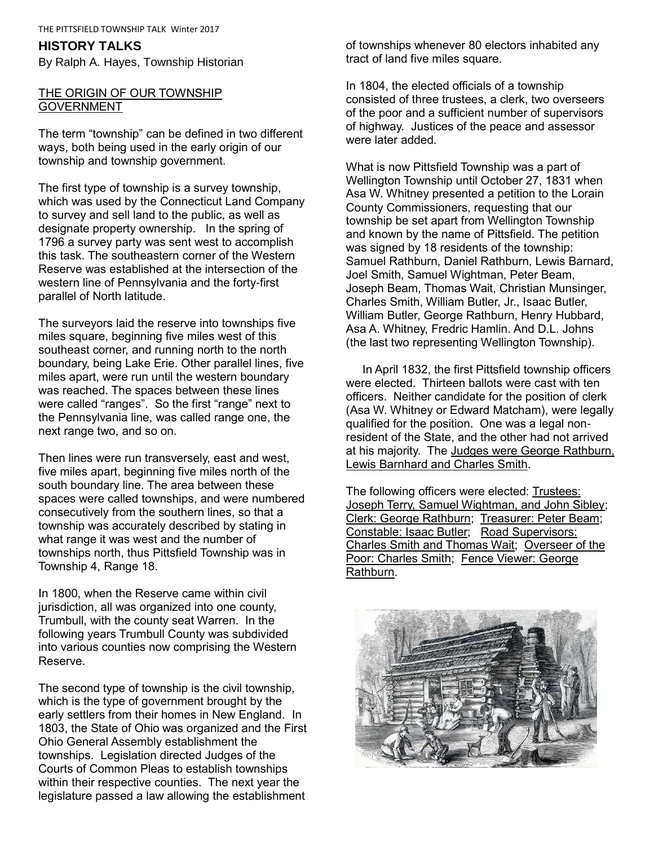### **HISTORY TALKS**

By Ralph A. Hayes, Township Historian

## THE ORIGIN OF OUR TOWNSHIP **GOVERNMENT**

The term "township" can be defined in two different ways, both being used in the early origin of our township and township government.

The first type of township is a survey township, which was used by the Connecticut Land Company to survey and sell land to the public, as well as designate property ownership. In the spring of 1796 a survey party was sent west to accomplish this task. The southeastern corner of the Western Reserve was established at the intersection of the western line of Pennsylvania and the forty-first parallel of North latitude.

The surveyors laid the reserve into townships five miles square, beginning five miles west of this southeast corner, and running north to the north boundary, being Lake Erie. Other parallel lines, five miles apart, were run until the western boundary was reached. The spaces between these lines were called "ranges". So the first "range" next to the Pennsylvania line, was called range one, the next range two, and so on.

Then lines were run transversely, east and west, five miles apart, beginning five miles north of the south boundary line. The area between these spaces were called townships, and were numbered consecutively from the southern lines, so that a township was accurately described by stating in what range it was west and the number of townships north, thus Pittsfield Township was in Township 4, Range 18.

In 1800, when the Reserve came within civil jurisdiction, all was organized into one county, Trumbull, with the county seat Warren. In the following years Trumbull County was subdivided into various counties now comprising the Western Reserve.

The second type of township is the civil township, which is the type of government brought by the early settlers from their homes in New England. In 1803, the State of Ohio was organized and the First Ohio General Assembly establishment the townships. Legislation directed Judges of the Courts of Common Pleas to establish townships within their respective counties. The next year the legislature passed a law allowing the establishment

of townships whenever 80 electors inhabited any tract of land five miles square.

In 1804, the elected officials of a township consisted of three trustees, a clerk, two overseers of the poor and a sufficient number of supervisors of highway. Justices of the peace and assessor were later added.

What is now Pittsfield Township was a part of Wellington Township until October 27, 1831 when Asa W. Whitney presented a petition to the Lorain County Commissioners, requesting that our township be set apart from Wellington Township and known by the name of Pittsfield. The petition was signed by 18 residents of the township: Samuel Rathburn, Daniel Rathburn, Lewis Barnard, Joel Smith, Samuel Wightman, Peter Beam, Joseph Beam, Thomas Wait, Christian Munsinger, Charles Smith, William Butler, Jr., Isaac Butler, William Butler, George Rathburn, Henry Hubbard, Asa A. Whitney, Fredric Hamlin. And D.L. Johns (the last two representing Wellington Township).

 In April 1832, the first Pittsfield township officers were elected. Thirteen ballots were cast with ten officers. Neither candidate for the position of clerk (Asa W. Whitney or Edward Matcham), were legally qualified for the position. One was a legal nonresident of the State, and the other had not arrived at his majority. The Judges were George Rathburn, Lewis Barnhard and Charles Smith.

The following officers were elected: Trustees: Joseph Terry, Samuel Wightman, and John Sibley; Clerk: George Rathburn; Treasurer: Peter Beam; Constable: Isaac Butler; Road Supervisors: Charles Smith and Thomas Wait; Overseer of the Poor: Charles Smith; Fence Viewer: George Rathburn.